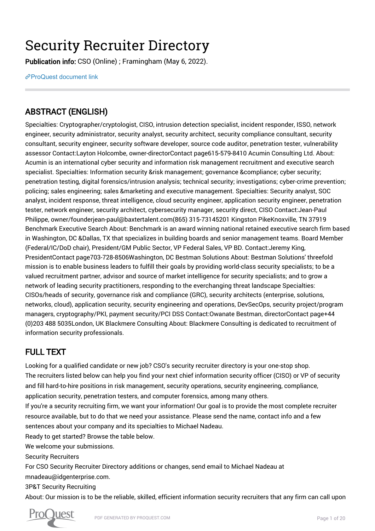# Security Recruiter Directory

Publication info: CSO (Online) ; Framingham (May 6, 2022).

[ProQuest document link](https://www.proquest.com/trade-journals/security-recruiter-directory/docview/2660198751/se-2?accountid=44910)

# ABSTRACT (ENGLISH)

Specialties: Cryptographer/cryptologist, CISO, intrusion detection specialist, incident responder, ISSO, network engineer, security administrator, security analyst, security architect, security compliance consultant, security consultant, security engineer, security software developer, source code auditor, penetration tester, vulnerability assessor Contact:Layton Holcombe, owner-directorContact page615-579-8410 Acumin Consulting Ltd. About: Acumin is an international cyber security and information risk management recruitment and executive search specialist. Specialties: Information security &risk management; governance &compliance; cyber security; penetration testing, digital forensics/intrusion analysis; technical security; investigations; cyber-crime prevention; policing; sales engineering; sales &marketing and executive management. Specialties: Security analyst, SOC analyst, incident response, threat intelligence, cloud security engineer, application security engineer, penetration tester, network engineer, security architect, cybersecurity manager, security direct, CISO Contact:Jean-Paul Philippe, owner/founderjean-paul@baxtertalent.com(865) 315-73145201 Kingston PikeKnoxville, TN 37919 Benchmark Executive Search About: Benchmark is an award winning national retained executive search firm based in Washington, DC &Dallas, TX that specializes in building boards and senior management teams. Board Member (Federal/IC/DoD chair), President/GM Public Sector, VP Federal Sales, VP BD. Contact:Jeremy King, PresidentContact page703-728-8506Washington, DC Bestman Solutions About: Bestman Solutions' threefold mission is to enable business leaders to fulfill their goals by providing world-class security specialists; to be a valued recruitment partner, advisor and source of market intelligence for security specialists; and to grow a network of leading security practitioners, responding to the everchanging threat landscape Specialties: CISOs/heads of security, governance risk and compliance (GRC), security architects (enterprise, solutions, networks, cloud), application security, security engineering and operations, DevSecOps, security project/program managers, cryptography/PKI, payment security/PCI DSS Contact:Owanate Bestman, directorContact page+44 (0)203 488 5035London, UK Blackmere Consulting About: Blackmere Consulting is dedicated to recruitment of information security professionals.

# FULL TEXT

Looking for a qualified candidate or new job? CSO's security recruiter directory is your one-stop shop. The recruiters listed below can help you find your next chief information security officer (CISO) or VP of security and fill hard-to-hire positions in risk management, security operations, security engineering, compliance, application security, penetration testers, and computer forensics, among many others.

If you're a security recruiting firm, we want your information! Our goal is to provide the most complete recruiter resource available, but to do that we need your assistance. Please send the name, contact info and a few sentences about your company and its specialties to Michael Nadeau.

Ready to get started? Browse the table below.

We welcome your submissions.

Security Recruiters

For CSO Security Recruiter Directory additions or changes, send email to Michael Nadeau at

mnadeau@idgenterprise.com.

3P&T Security Recruiting

About: Our mission is to be the reliable, skilled, efficient information security recruiters that any firm can call upon

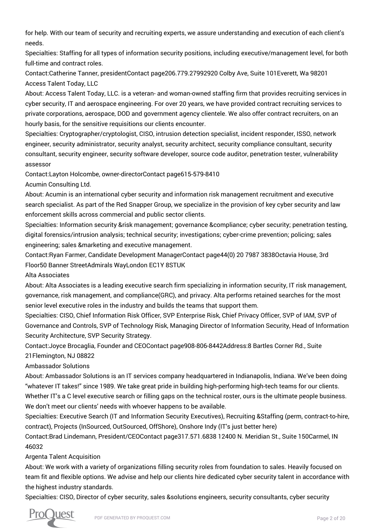for help. With our team of security and recruiting experts, we assure understanding and execution of each client's needs.

Specialties: Staffing for all types of information security positions, including executive/management level, for both full-time and contract roles.

Contact:Catherine Tanner, presidentContact page206.779.27992920 Colby Ave, Suite 101Everett, Wa 98201 Access Talent Today, LLC

About: Access Talent Today, LLC. is a veteran- and woman-owned staffing firm that provides recruiting services in cyber security, IT and aerospace engineering. For over 20 years, we have provided contract recruiting services to private corporations, aerospace, DOD and government agency clientele. We also offer contract recruiters, on an hourly basis, for the sensitive requisitions our clients encounter.

Specialties: Cryptographer/cryptologist, CISO, intrusion detection specialist, incident responder, ISSO, network engineer, security administrator, security analyst, security architect, security compliance consultant, security consultant, security engineer, security software developer, source code auditor, penetration tester, vulnerability assessor

Contact:Layton Holcombe, owner-directorContact page615-579-8410

Acumin Consulting Ltd.

About: Acumin is an international cyber security and information risk management recruitment and executive search specialist. As part of the Red Snapper Group, we specialize in the provision of key cyber security and law enforcement skills across commercial and public sector clients.

Specialties: Information security &risk management; governance &compliance; cyber security; penetration testing, digital forensics/intrusion analysis; technical security; investigations; cyber-crime prevention; policing; sales engineering; sales &marketing and executive management.

Contact:Ryan Farmer, Candidate Development ManagerContact page44(0) 20 7987 3838Octavia House, 3rd Floor50 Banner StreetAdmirals WayLondon EC1Y 8STUK

Alta Associates

About: Alta Associates is a leading executive search firm specializing in information security, IT risk management, governance, risk management, and compliance(GRC), and privacy. Alta performs retained searches for the most senior level executive roles in the industry and builds the teams that support them.

Specialties: CISO, Chief Information Risk Officer, SVP Enterprise Risk, Chief Privacy Officer, SVP of IAM, SVP of Governance and Controls, SVP of Technology Risk, Managing Director of Information Security, Head of Information Security Architecture, SVP Security Strategy.

Contact:Joyce Brocaglia, Founder and CEOContact page908-806-8442Address:8 Bartles Corner Rd., Suite 21Flemington, NJ 08822

Ambassador Solutions

About: Ambassador Solutions is an IT services company headquartered in Indianapolis, Indiana. We've been doing "whatever IT takes!" since 1989. We take great pride in building high-performing high-tech teams for our clients. Whether IT's a C level executive search or filling gaps on the technical roster, ours is the ultimate people business. We don't meet our clients' needs with whoever happens to be available.

Specialties: Executive Search (IT and Information Security Executives), Recruiting &Staffing (perm, contract-to-hire, contract), Projects (InSourced, OutSourced, OffShore), Onshore Indy (IT's just better here)

Contact:Brad Lindemann, President/CEOContact page317.571.6838 12400 N. Meridian St., Suite 150Carmel, IN 46032

Argenta Talent Acquisition

About: We work with a variety of organizations filling security roles from foundation to sales. Heavily focused on team fit and flexible options. We advise and help our clients hire dedicated cyber security talent in accordance with the highest industry standards.

Specialties: CISO, Director of cyber security, sales &solutions engineers, security consultants, cyber security

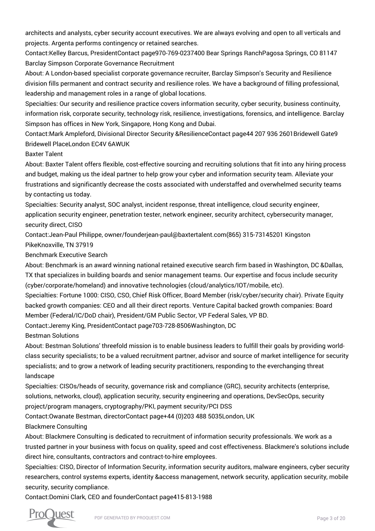architects and analysts, cyber security account executives. We are always evolving and open to all verticals and projects. Argenta performs contingency or retained searches.

Contact:Kelley Barcus, PresidentContact page970-769-0237400 Bear Springs RanchPagosa Springs, CO 81147 Barclay Simpson Corporate Governance Recruitment

About: A London-based specialist corporate governance recruiter, Barclay Simpson's Security and Resilience division fills permanent and contract security and resilience roles. We have a background of filling professional, leadership and management roles in a range of global locations.

Specialties: Our security and resilience practice covers information security, cyber security, business continuity, information risk, corporate security, technology risk, resilience, investigations, forensics, and intelligence. Barclay Simpson has offices in New York, Singapore, Hong Kong and Dubai.

Contact:Mark Ampleford, Divisional Director Security &ResilienceContact page44 207 936 2601Bridewell Gate9 Bridewell PlaceLondon FC4V 6AWUK

#### Baxter Talent

About: Baxter Talent offers flexible, cost-effective sourcing and recruiting solutions that fit into any hiring process and budget, making us the ideal partner to help grow your cyber and information security team. Alleviate your frustrations and significantly decrease the costs associated with understaffed and overwhelmed security teams by contacting us today.

Specialties: Security analyst, SOC analyst, incident response, threat intelligence, cloud security engineer, application security engineer, penetration tester, network engineer, security architect, cybersecurity manager, security direct, CISO

Contact:Jean-Paul Philippe, owner/founderjean-paul@baxtertalent.com(865) 315-73145201 Kingston PikeKnoxville, TN 37919

Benchmark Executive Search

About: Benchmark is an award winning national retained executive search firm based in Washington, DC &Dallas, TX that specializes in building boards and senior management teams. Our expertise and focus include security (cyber/corporate/homeland) and innovative technologies (cloud/analytics/IOT/mobile, etc).

Specialties: Fortune 1000: CISO, CSO, Chief Risk Officer, Board Member (risk/cyber/security chair). Private Equity backed growth companies: CEO and all their direct reports. Venture Capital backed growth companies: Board Member (Federal/IC/DoD chair), President/GM Public Sector, VP Federal Sales, VP BD.

Contact:Jeremy King, PresidentContact page703-728-8506Washington, DC

Bestman Solutions

About: Bestman Solutions' threefold mission is to enable business leaders to fulfill their goals by providing worldclass security specialists; to be a valued recruitment partner, advisor and source of market intelligence for security specialists; and to grow a network of leading security practitioners, responding to the everchanging threat landscape

Specialties: CISOs/heads of security, governance risk and compliance (GRC), security architects (enterprise, solutions, networks, cloud), application security, security engineering and operations, DevSecOps, security project/program managers, cryptography/PKI, payment security/PCI DSS

Contact:Owanate Bestman, directorContact page+44 (0)203 488 5035London, UK

Blackmere Consulting

About: Blackmere Consulting is dedicated to recruitment of information security professionals. We work as a trusted partner in your business with focus on quality, speed and cost effectiveness. Blackmere's solutions include direct hire, consultants, contractors and contract-to-hire employees.

Specialties: CISO, Director of Information Security, information security auditors, malware engineers, cyber security researchers, control systems experts, identity &access management, network security, application security, mobile security, security compliance.

Contact:Domini Clark, CEO and founderContact page415-813-1988

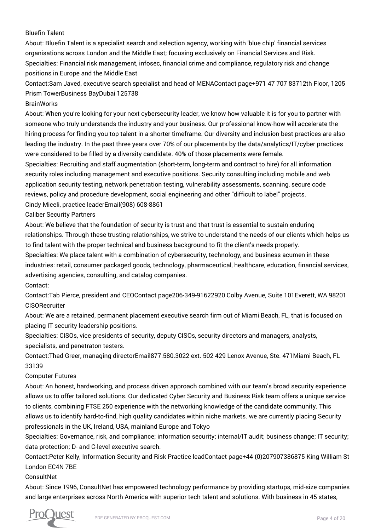#### Bluefin Talent

About: Bluefin Talent is a specialist search and selection agency, working with 'blue chip' financial services organisations across London and the Middle East; focusing exclusively on Financial Services and Risk. Specialties: Financial risk management, infosec, financial crime and compliance, regulatory risk and change positions in Europe and the Middle East

Contact:Sam Javed, executive search specialist and head of MENAContact page+971 47 707 83712th Floor, 1205 Prism TowerBusiness BayDubai 125738

#### **BrainWorks**

About: When you're looking for your next cybersecurity leader, we know how valuable it is for you to partner with someone who truly understands the industry and your business. Our professional know-how will accelerate the hiring process for finding you top talent in a shorter timeframe. Our diversity and inclusion best practices are also leading the industry. In the past three years over 70% of our placements by the data/analytics/IT/cyber practices were considered to be filled by a diversity candidate. 40% of those placements were female.

Specialties: Recruiting and staff augmentation (short-term, long-term and contract to hire) for all information security roles including management and executive positions. Security consulting including mobile and web application security testing, network penetration testing, vulnerability assessments, scanning, secure code reviews, policy and procedure development, social engineering and other "difficult to label" projects. Cindy Miceli, practice leaderEmail(908) 608-8861

Caliber Security Partners

About: We believe that the foundation of security is trust and that trust is essential to sustain enduring relationships. Through these trusting relationships, we strive to understand the needs of our clients which helps us to find talent with the proper technical and business background to fit the client's needs properly.

Specialties: We place talent with a combination of cybersecurity, technology, and business acumen in these industries: retail, consumer packaged goods, technology, pharmaceutical, healthcare, education, financial services, advertising agencies, consulting, and catalog companies.

#### Contact:

Contact:Tab Pierce, president and CEOContact page206-349-91622920 Colby Avenue, Suite 101Everett, WA 98201 **CISORecruiter** 

About: We are a retained, permanent placement executive search firm out of Miami Beach, FL, that is focused on placing IT security leadership positions.

Specialties: CISOs, vice presidents of security, deputy CISOs, security directors and managers, analysts, specialists, and penetraton testers.

Contact:Thad Greer, managing directorEmail877.580.3022 ext. 502 429 Lenox Avenue, Ste. 471Miami Beach, FL 33139

#### Computer Futures

About: An honest, hardworking, and process driven approach combined with our team's broad security experience allows us to offer tailored solutions. Our dedicated Cyber Security and Business Risk team offers a unique service to clients, combining FTSE 250 experience with the networking knowledge of the candidate community. This allows us to identify hard-to-find, high quality candidates within niche markets. we are currently placing Security professionals in the UK, Ireland, USA, mainland Europe and Tokyo

Specialties: Governance, risk, and compliance; information security; internal/IT audit; business change; IT security; data protection; D- and C-level executive search.

Contact:Peter Kelly, Information Security and Risk Practice leadContact page+44 (0)207907386875 King William St London EC4N 7BE

#### **ConsultNet**

About: Since 1996, ConsultNet has empowered technology performance by providing startups, mid-size companies and large enterprises across North America with superior tech talent and solutions. With business in 45 states,

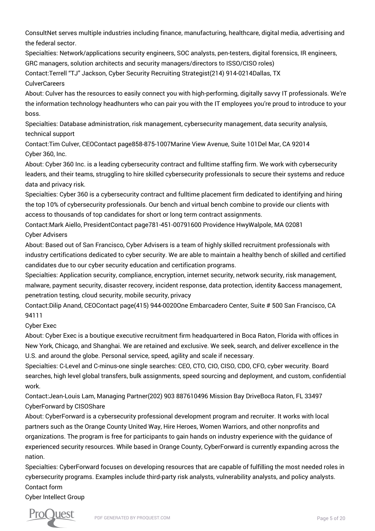ConsultNet serves multiple industries including finance, manufacturing, healthcare, digital media, advertising and the federal sector.

Specialties: Network/applications security engineers, SOC analysts, pen-testers, digital forensics, IR engineers, GRC managers, solution architects and security managers/directors to ISSO/CISO roles)

Contact:Terrell "TJ" Jackson, Cyber Security Recruiting Strategist(214) 914-0214Dallas, TX

CulverCareers

About: Culver has the resources to easily connect you with high-performing, digitally savvy IT professionals. We're the information technology headhunters who can pair you with the IT employees you're proud to introduce to your boss.

Specialties: Database administration, risk management, cybersecurity management, data security analysis, technical support

Contact:Tim Culver, CEOContact page858-875-1007Marine View Avenue, Suite 101Del Mar, CA 92014 Cyber 360, Inc.

About: Cyber 360 Inc. is a leading cybersecurity contract and fulltime staffing firm. We work with cybersecurity leaders, and their teams, struggling to hire skilled cybersecurity professionals to secure their systems and reduce data and privacy risk.

Specialties: Cyber 360 is a cybersecurity contract and fulltime placement firm dedicated to identifying and hiring the top 10% of cybersecurity professionals. Our bench and virtual bench combine to provide our clients with access to thousands of top candidates for short or long term contract assignments.

Contact:Mark Aiello, PresidentContact page781-451-00791600 Providence HwyWalpole, MA 02081 Cyber Advisers

About: Based out of San Francisco, Cyber Advisers is a team of highly skilled recruitment professionals with industry certifications dedicated to cyber security. We are able to maintain a healthy bench of skilled and certified candidates due to our cyber security education and certification programs.

Specialties: Application security, compliance, encryption, internet security, network security, risk management, malware, payment security, disaster recovery, incident response, data protection, identity &access management, penetration testing, cloud security, mobile security, privacy

Contact:Dilip Anand, CEOContact page(415) 944-0020One Embarcadero Center, Suite # 500 San Francisco, CA 94111

Cyber Exec

About: Cyber Exec is a boutique executive recruitment firm headquartered in Boca Raton, Florida with offices in New York, Chicago, and Shanghai. We are retained and exclusive. We seek, search, and deliver excellence in the U.S. and around the globe. Personal service, speed, agility and scale if necessary.

Specialties: C-Level and C-minus-one single searches: CEO, CTO, CIO, CISO, CDO, CFO, cyber wecurity. Board searches, high level global transfers, bulk assignments, speed sourcing and deployment, and custom, confidential work.

Contact:Jean-Louis Lam, Managing Partner(202) 903 887610496 Mission Bay DriveBoca Raton, FL 33497 CyberForward by CISOShare

About: CyberForward is a cybersecurity professional development program and recruiter. It works with local partners such as the Orange County United Way, Hire Heroes, Women Warriors, and other nonprofits and organizations. The program is free for participants to gain hands on industry experience with the guidance of experienced security resources. While based in Orange County, CyberForward is currently expanding across the nation.

Specialties: CyberForward focuses on developing resources that are capable of fulfilling the most needed roles in cybersecurity programs. Examples include third-party risk analysts, vulnerability analysts, and policy analysts. Contact form

Cyber Intellect Group

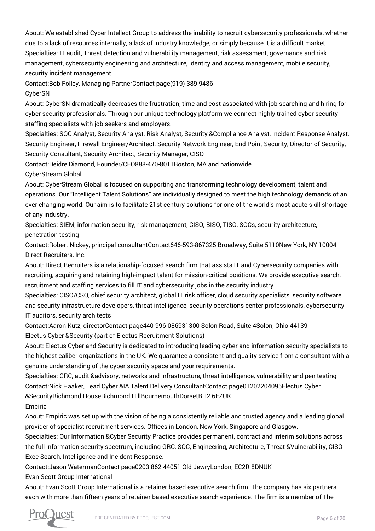About: We established Cyber Intellect Group to address the inability to recruit cybersecurity professionals, whether due to a lack of resources internally, a lack of industry knowledge, or simply because it is a difficult market. Specialties: IT audit, Threat detection and vulnerability management, risk assessment, governance and risk management, cybersecurity engineering and architecture, identity and access management, mobile security, security incident management

Contact:Bob Folley, Managing PartnerContact page(919) 389-9486

CyberSN

About: CyberSN dramatically decreases the frustration, time and cost associated with job searching and hiring for cyber security professionals. Through our unique technology platform we connect highly trained cyber security staffing specialists with job seekers and employers.

Specialties: SOC Analyst, Security Analyst, Risk Analyst, Security &Compliance Analyst, Incident Response Analyst, Security Engineer, Firewall Engineer/Architect, Security Network Engineer, End Point Security, Director of Security, Security Consultant, Security Architect, Security Manager, CISO

Contact:Deidre Diamond, Founder/CEO888-470-8011Boston, MA and nationwide

CyberStream Global

About: CyberStream Global is focused on supporting and transforming technology development, talent and operations. Our "Intelligent Talent Solutions" are individually designed to meet the high technology demands of an ever changing world. Our aim is to facilitate 21st century solutions for one of the world's most acute skill shortage of any industry.

Specialties: SIEM, information security, risk management, CISO, BISO, TISO, SOCs, security architecture, penetration testing

Contact:Robert Nickey, principal consultantContact646-593-867325 Broadway, Suite 5110New York, NY 10004 Direct Recruiters, Inc.

About: Direct Recruiters is a relationship-focused search firm that assists IT and Cybersecurity companies with recruiting, acquiring and retaining high-impact talent for mission-critical positions. We provide executive search, recruitment and staffing services to fill IT and cybersecurity jobs in the security industry.

Specialties: CISO/CSO, chief security architect, global IT risk officer, cloud security specialists, security software and security infrastructure developers, threat intelligence, security operations center professionals, cybersecurity IT auditors, security architects

Contact:Aaron Kutz, directorContact page440-996-086931300 Solon Road, Suite 4Solon, Ohio 44139 Electus Cyber &Security (part of Electus Recruitment Solutions)

About: Electus Cyber and Security is dedicated to introducing leading cyber and information security specialists to the highest caliber organizations in the UK. We guarantee a consistent and quality service from a consultant with a genuine understanding of the cyber security space and your requirements.

Specialties: GRC, audit &advisory, networks and infrastructure, threat intelligence, vulnerability and pen testing Contact:Nick Haaker, Lead Cyber &IA Talent Delivery ConsultantContact page01202204095Electus Cyber &SecurityRichmond HouseRichmond HillBournemouthDorsetBH2 6EZUK

Empiric

About: Empiric was set up with the vision of being a consistently reliable and trusted agency and a leading global provider of specialist recruitment services. Offices in London, New York, Singapore and Glasgow.

Specialties: Our Information &Cyber Security Practice provides permanent, contract and interim solutions across the full information security spectrum, including GRC, SOC, Engineering, Architecture, Threat &Vulnerability, CISO Exec Search, Intelligence and Incident Response.

Contact:Jason WatermanContact page0203 862 44051 Old JewryLondon, EC2R 8DNUK

Evan Scott Group International

About: Evan Scott Group International is a retainer based executive search firm. The company has six partners, each with more than fifteen years of retainer based executive search experience. The firm is a member of The

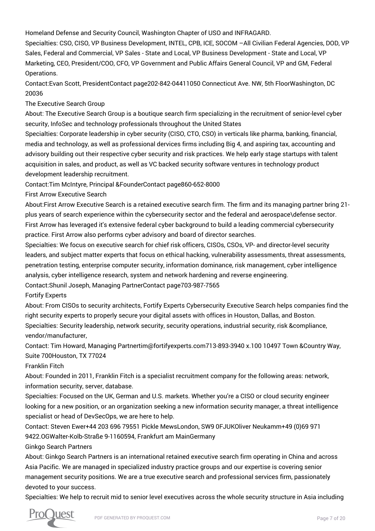Homeland Defense and Security Council, Washington Chapter of USO and INFRAGARD.

Specialties: CSO, CISO, VP Business Development, INTEL, CPB, ICE, SOCOM –All Civilian Federal Agencies, DOD, VP Sales, Federal and Commercial, VP Sales - State and Local, VP Business Development - State and Local, VP Marketing, CEO, President/COO, CFO, VP Government and Public Affairs General Council, VP and GM, Federal Operations.

Contact:Evan Scott, PresidentContact page202-842-04411050 Connecticut Ave. NW, 5th FloorWashington, DC 20036

The Executive Search Group

About: The Executive Search Group is a boutique search firm specializing in the recruitment of senior-level cyber security, InfoSec and technology professionals throughout the United States

Specialties: Corporate leadership in cyber security (CISO, CTO, CSO) in verticals like pharma, banking, financial, media and technology, as well as professional dervices firms including Big 4, and aspiring tax, accounting and advisory building out their respective cyber security and risk practices. We help early stage startups with talent acquisition in sales, and product, as well as VC backed security software ventures in technology product development leadership recruitment.

Contact:Tim McIntyre, Principal &FounderContact page860-652-8000

First Arrow Executive Search

About:First Arrow Executive Search is a retained executive search firm. The firm and its managing partner bring 21 plus years of search experience within the cybersecurity sector and the federal and aerospace\defense sector. First Arrow has leveraged it's extensive federal cyber background to build a leading commercial cybersecurity practice. First Arrow also performs cyber advisory and board of director searches.

Specialties: We focus on executive search for chief risk officers, CISOs, CSOs, VP- and director-level security leaders, and subject matter experts that focus on ethical hacking, vulnerability assessments, threat assessments, penetration testing, enterprise computer security, information dominance, risk management, cyber intelligence analysis, cyber intelligence research, system and network hardening and reverse engineering. Contact:Shunil Joseph, Managing PartnerContact page703-987-7565

#### Fortify Experts

About: From CISOs to security architects, Fortify Experts Cybersecurity Executive Search helps companies find the right security experts to properly secure your digital assets with offices in Houston, Dallas, and Boston. Specialties: Security leadership, network security, security operations, industrial security, risk &compliance, vendor/manufacturer,

Contact: Tim Howard, Managing Partnertim@fortifyexperts.com713-893-3940 x.100 10497 Town &Country Way, Suite 700Houston, TX 77024

# Franklin Fitch

About: Founded in 2011, Franklin Fitch is a specialist recruitment company for the following areas: network, information security, server, database.

Specialties: Focused on the UK, German and U.S. markets. Whether you're a CISO or cloud security engineer looking for a new position, or an organization seeking a new information security manager, a threat intelligence specialist or head of DevSecOps, we are here to help.

Contact: Steven Ewer+44 203 696 79551 Pickle MewsLondon, SW9 0FJUKOliver Neukamm+49 (0)69 971 9422.OGWalter-Kolb-Straße 9-1160594, Frankfurt am MainGermany

Ginkgo Search Partners

About: Ginkgo Search Partners is an international retained executive search firm operating in China and across Asia Pacific. We are managed in specialized industry practice groups and our expertise is covering senior management security positions. We are a true executive search and professional services firm, passionately devoted to your success.

Specialties: We help to recruit mid to senior level executives across the whole security structure in Asia including

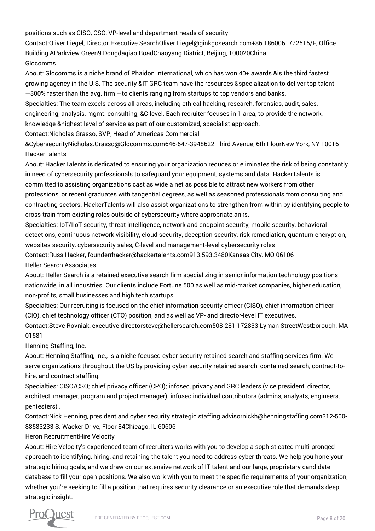positions such as CISO, CSO, VP-level and department heads of security.

Contact:Oliver Liegel, Director Executive SearchOliver.Liegel@ginkgosearch.com+86 1860061772515/F, Office Building AParkview Green9 Dongdaqiao RoadChaoyang District, Beijing, 100020China Glocomms

About: Glocomms is a niche brand of Phaidon International, which has won 40+ awards &is the third fastest growing agency in the U.S. The security &IT GRC team have the resources &specialization to deliver top talent —300% faster than the avg. firm —to clients ranging from startups to top vendors and banks.

Specialties: The team excels across all areas, including ethical hacking, research, forensics, audit, sales, engineering, analysis, mgmt. consulting, &C-level. Each recruiter focuses in 1 area, to provide the network, knowledge &highest level of service as part of our customized, specialist approach.

Contact:Nicholas Grasso, SVP, Head of Americas Commercial

&CybersecurityNicholas.Grasso@Glocomms.com646-647-3948622 Third Avenue, 6th FloorNew York, NY 10016 **HackerTalents** 

About: HackerTalents is dedicated to ensuring your organization reduces or eliminates the risk of being constantly in need of cybersecurity professionals to safeguard your equipment, systems and data. HackerTalents is committed to assisting organizations cast as wide a net as possible to attract new workers from other professions, or recent graduates with tangential degrees, as well as seasoned professionals from consulting and contracting sectors. HackerTalents will also assist organizations to strengthen from within by identifying people to cross-train from existing roles outside of cybersecurity where appropriate.anks.

Specialties: IoT/IIoT security, threat intelligence, network and endpoint security, mobile security, behavioral detections, continuous network visibility, cloud security, deception security, risk remediation, quantum encryption, websites security, cybersecurity sales, C-level and management-level cybersecurity roles Contact:Russ Hacker, founderrhacker@hackertalents.com913.593.3480Kansas City, MO 06106

Heller Search Associates

About: Heller Search is a retained executive search firm specializing in senior information technology positions nationwide, in all industries. Our clients include Fortune 500 as well as mid-market companies, higher education, non-profits, small businesses and high tech startups.

Specialties: Our recruiting is focused on the chief information security officer (CISO), chief information officer (CIO), chief technology officer (CTO) position, and as well as VP- and director-level IT executives.

Contact:Steve Rovniak, executive directorsteve@hellersearch.com508-281-172833 Lyman StreetWestborough, MA 01581

Henning Staffing, Inc.

About: Henning Staffing, Inc., is a niche-focused cyber security retained search and staffing services firm. We serve organizations throughout the US by providing cyber security retained search, contained search, contract-tohire, and contract staffing.

Specialties: CISO/CSO; chief privacy officer (CPO); infosec, privacy and GRC leaders (vice president, director, architect, manager, program and project manager); infosec individual contributors (admins, analysts, engineers, pentesters) .

Contact:Nick Henning, president and cyber security strategic staffing advisornickh@henningstaffing.com312-500- 88583233 S. Wacker Drive, Floor 84Chicago, IL 60606

Heron RecruitmentHire Velocity

About: Hire Velocity's experienced team of recruiters works with you to develop a sophisticated multi-pronged approach to identifying, hiring, and retaining the talent you need to address cyber threats. We help you hone your strategic hiring goals, and we draw on our extensive network of IT talent and our large, proprietary candidate database to fill your open positions. We also work with you to meet the specific requirements of your organization, whether you're seeking to fill a position that requires security clearance or an executive role that demands deep strategic insight.

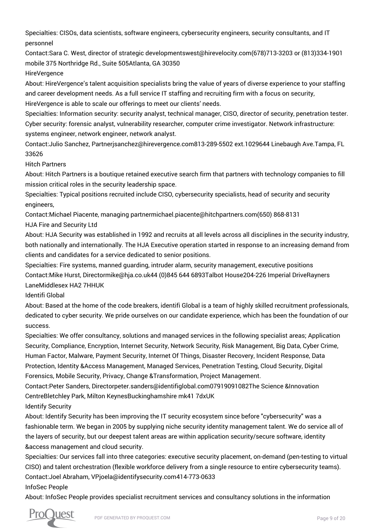Specialties: CISOs, data scientists, software engineers, cybersecurity engineers, security consultants, and IT personnel

Contact:Sara C. West, director of strategic developmentswest@hirevelocity.com(678)713-3203 or (813)334-1901 mobile 375 Northridge Rd., Suite 505Atlanta, GA 30350

**HireVergence** 

About: HireVergence's talent acquisition specialists bring the value of years of diverse experience to your staffing and career development needs. As a full service IT staffing and recruiting firm with a focus on security, HireVergence is able to scale our offerings to meet our clients' needs.

Specialties: Information security: security analyst, technical manager, CISO, director of security, penetration tester. Cyber security: forensic analyst, vulnerability researcher, computer crime investigator. Network infrastructure: systems engineer, network engineer, network analyst.

Contact:Julio Sanchez, Partnerjsanchez@hirevergence.com813-289-5502 ext.1029644 Linebaugh Ave.Tampa, FL 33626

Hitch Partners

About: Hitch Partners is a boutique retained executive search firm that partners with technology companies to fill mission critical roles in the security leadership space.

Specialties: Typical positions recruited include CISO, cybersecurity specialists, head of security and security engineers,

Contact:Michael Piacente, managing partnermichael.piacente@hitchpartners.com(650) 868-8131 HJA Fire and Security Ltd

About: HJA Security was established in 1992 and recruits at all levels across all disciplines in the security industry, both nationally and internationally. The HJA Executive operation started in response to an increasing demand from clients and candidates for a service dedicated to senior positions.

Specialties: Fire systems, manned guarding, intruder alarm, security management, executive positions Contact:Mike Hurst, Directormike@hja.co.uk44 (0)845 644 6893Talbot House204-226 Imperial DriveRayners LaneMiddlesex HA2 7HHUK

Identifi Global

About: Based at the home of the code breakers, identifi Global is a team of highly skilled recruitment professionals, dedicated to cyber security. We pride ourselves on our candidate experience, which has been the foundation of our success.

Specialties: We offer consultancy, solutions and managed services in the following specialist areas; Application Security, Compliance, Encryption, Internet Security, Network Security, Risk Management, Big Data, Cyber Crime, Human Factor, Malware, Payment Security, Internet Of Things, Disaster Recovery, Incident Response, Data Protection, Identity &Access Management, Managed Services, Penetration Testing, Cloud Security, Digital Forensics, Mobile Security, Privacy, Change &Transformation, Project Management.

Contact:Peter Sanders, Directorpeter.sanders@identifiglobal.com07919091082The Science &Innovation CentreBletchley Park, Milton KeynesBuckinghamshire mk41 7dxUK

Identify Security

About: Identify Security has been improving the IT security ecosystem since before "cybersecurity" was a fashionable term. We began in 2005 by supplying niche security identity management talent. We do service all of the layers of security, but our deepest talent areas are within application security/secure software, identity &access management and cloud security.

Specialties: Our services fall into three categories: executive security placement, on-demand (pen-testing to virtual CISO) and talent orchestration (flexible workforce delivery from a single resource to entire cybersecurity teams). Contact:Joel Abraham, VPjoela@identifysecurity.com414-773-0633

InfoSec People

About: InfoSec People provides specialist recruitment services and consultancy solutions in the information

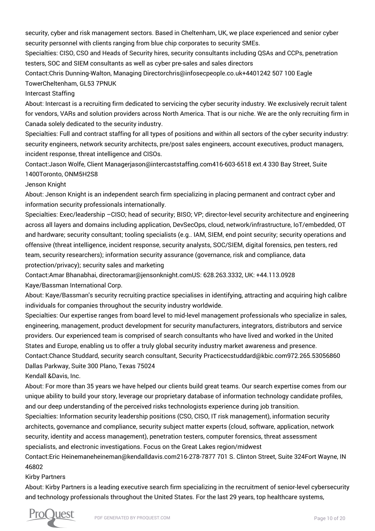security, cyber and risk management sectors. Based in Cheltenham, UK, we place experienced and senior cyber security personnel with clients ranging from blue chip corporates to security SMEs.

Specialties: CISO, CSO and Heads of Security hires, security consultants including QSAs and CCPs, penetration testers, SOC and SIEM consultants as well as cyber pre-sales and sales directors

Contact:Chris Dunning-Walton, Managing Directorchris@infosecpeople.co.uk+4401242 507 100 Eagle TowerCheltenham, GL53 7PNUK

## Intercast Staffing

About: Intercast is a recruiting firm dedicated to servicing the cyber security industry. We exclusively recruit talent for vendors, VARs and solution providers across North America. That is our niche. We are the only recruiting firm in Canada solely dedicated to the security industry.

Specialties: Full and contract staffing for all types of positions and within all sectors of the cyber security industry: security engineers, network security architects, pre/post sales engineers, account executives, product managers, incident response, threat intelligence and CISOs.

Contact:Jason Wolfe, Client Managerjason@intercaststaffing.com416-603-6518 ext.4 330 Bay Street, Suite 1400Toronto, ONM5H2S8

## Jenson Knight

About: Jenson Knight is an independent search firm specializing in placing permanent and contract cyber and information security professionals internationally.

Specialties: Exec/leadership –CISO; head of security; BISO; VP; director-level security architecture and engineering across all layers and domains including application, DevSecOps, cloud, network/infrastructure, IoT/embedded, OT and hardware; security consultant; tooling specialists (e.g.. IAM, SIEM, end point security; security operations and offensive (threat intelligence, incident response, security analysts, SOC/SIEM, digital forensics, pen testers, red team, security researchers); information security assurance (governance, risk and compliance, data

protection/privacy); security sales and marketing

Contact:Amar Bhanabhai, directoramar@jensonknight.comUS: 628.263.3332, UK: +44.113.0928 Kaye/Bassman International Corp.

About: Kaye/Bassman's security recruiting practice specialises in identifying, attracting and acquiring high calibre individuals for companies throughout the security industry worldwide.

Specialties: Our expertise ranges from board level to mid-level management professionals who specialize in sales, engineering, management, product development for security manufacturers, integrators, distributors and service providers. Our experienced team is comprised of search consultants who have lived and worked in the United States and Europe, enabling us to offer a truly global security industry market awareness and presence. Contact:Chance Studdard, security search consultant, Security Practicecstuddard@kbic.com972.265.53056860 Dallas Parkway, Suite 300 Plano, Texas 75024

Kendall &Davis, Inc.

About: For more than 35 years we have helped our clients build great teams. Our search expertise comes from our unique ability to build your story, leverage our proprietary database of information technology candidate profiles, and our deep understanding of the perceived risks technologists experience during job transition.

Specialties: Information security leadership positions (CSO, CISO, IT risk management), information security architects, governance and compliance, security subject matter experts (cloud, software, application, network security, identity and access management), penetration testers, computer forensics, threat assessment specialists, and electronic investigations. Focus on the Great Lakes region/midwest

Contact:Eric Heinemaneheineman@kendalldavis.com216-278-7877 701 S. Clinton Street, Suite 324Fort Wayne, IN 46802

#### Kirby Partners

About: Kirby Partners is a leading executive search firm specializing in the recruitment of senior-level cybersecurity and technology professionals throughout the United States. For the last 29 years, top healthcare systems,

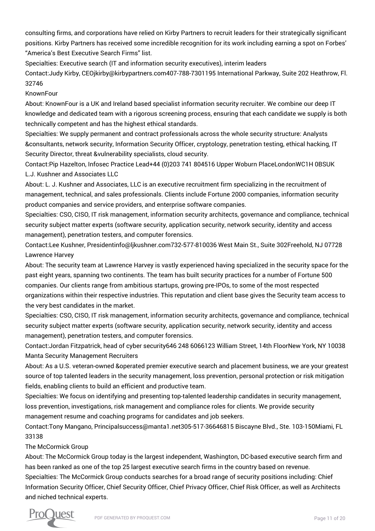consulting firms, and corporations have relied on Kirby Partners to recruit leaders for their strategically significant positions. Kirby Partners has received some incredible recognition for its work including earning a spot on Forbes' "America's Best Executive Search Firms" list.

Specialties: Executive search (IT and information security executives), interim leaders

Contact:Judy Kirby, CEOjkirby@kirbypartners.com407-788-7301195 International Parkway, Suite 202 Heathrow, Fl. 32746

#### KnownFour

About: KnownFour is a UK and Ireland based specialist information security recruiter. We combine our deep IT knowledge and dedicated team with a rigorous screening process, ensuring that each candidate we supply is both technically competent and has the highest ethical standards.

Specialties: We supply permanent and contract professionals across the whole security structure: Analysts &consultants, network security, Information Security Officer, cryptology, penetration testing, ethical hacking, IT Security Director, threat &vulnerability specialists, cloud security.

Contact:Pip Hazelton, Infosec Practice Lead+44 (0)203 741 804516 Upper Woburn PlaceLondonWC1H 0BSUK L.J. Kushner and Associates LLC

About: L. J. Kushner and Associates, LLC is an executive recruitment firm specializing in the recruitment of management, technical, and sales professionals. Clients include Fortune 2000 companies, information security product companies and service providers, and enterprise software companies.

Specialties: CSO, CISO, IT risk management, information security architects, governance and compliance, technical security subject matter experts (software security, application security, network security, identity and access management), penetration testers, and computer forensics.

Contact:Lee Kushner, Presidentinfo@ljkushner.com732-577-810036 West Main St., Suite 302Freehold, NJ 07728 Lawrence Harvey

About: The security team at Lawrence Harvey is vastly experienced having specialized in the security space for the past eight years, spanning two continents. The team has built security practices for a number of Fortune 500 companies. Our clients range from ambitious startups, growing pre-IPOs, to some of the most respected organizations within their respective industries. This reputation and client base gives the Security team access to the very best candidates in the market.

Specialties: CSO, CISO, IT risk management, information security architects, governance and compliance, technical security subject matter experts (software security, application security, network security, identity and access management), penetration testers, and computer forensics.

Contact:Jordan Fitzpatrick, head of cyber security646 248 6066123 William Street, 14th FloorNew York, NY 10038 Manta Security Management Recruiters

About: As a U.S. veteran-owned &operated premier executive search and placement business, we are your greatest source of top talented leaders in the security management, loss prevention, personal protection or risk mitigation fields, enabling clients to build an efficient and productive team.

Specialties: We focus on identifying and presenting top-talented leadership candidates in security management, loss prevention, investigations, risk management and compliance roles for clients. We provide security management resume and coaching programs for candidates and job seekers.

Contact:Tony Mangano, Principalsuccess@manta1.net305-517-36646815 Biscayne Blvd., Ste. 103-150Miami, FL 33138

#### The McCormick Group

About: The McCormick Group today is the largest independent, Washington, DC-based executive search firm and has been ranked as one of the top 25 largest executive search firms in the country based on revenue.

Specialties: The McCormick Group conducts searches for a broad range of security positions including: Chief Information Security Officer, Chief Security Officer, Chief Privacy Officer, Chief Risk Officer, as well as Architects and niched technical experts.

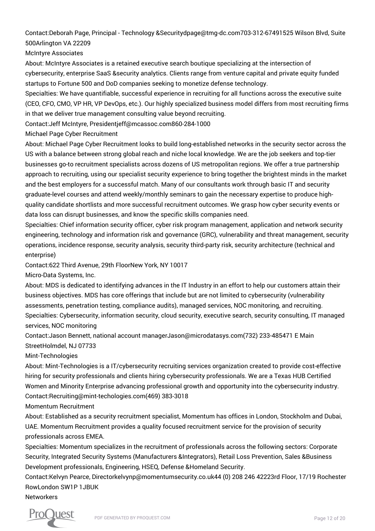Contact:Deborah Page, Principal - Technology &Securitydpage@tmg-dc.com703-312-67491525 Wilson Blvd, Suite 500Arlington VA 22209

McIntyre Associates

About: McIntyre Associates is a retained executive search boutique specializing at the intersection of cybersecurity, enterprise SaaS &security analytics. Clients range from venture capital and private equity funded startups to Fortune 500 and DoD companies seeking to monetize defense technology.

Specialties: We have quantifiable, successful experience in recruiting for all functions across the executive suite (CEO, CFO, CMO, VP HR, VP DevOps, etc.). Our highly specialized business model differs from most recruiting firms in that we deliver true management consulting value beyond recruiting.

Contact:Jeff McIntyre, Presidentjeff@mcassoc.com860-284-1000

Michael Page Cyber Recruitment

About: Michael Page Cyber Recruitment looks to build long-established networks in the security sector across the US with a balance between strong global reach and niche local knowledge. We are the job seekers and top-tier businesses go-to recruitment specialists across dozens of US metropolitan regions. We offer a true partnership approach to recruiting, using our specialist security experience to bring together the brightest minds in the market and the best employers for a successful match. Many of our consultants work through basic IT and security graduate-level courses and attend weekly/monthly seminars to gain the necessary expertise to produce highquality candidate shortlists and more successful recruitment outcomes. We grasp how cyber security events or data loss can disrupt businesses, and know the specific skills companies need.

Specialties: Chief information security officer, cyber risk program management, application and network security engineering, technology and information risk and governance (GRC), vulnerability and threat management, security operations, incidence response, security analysis, security third-party risk, security architecture (technical and enterprise)

Contact:622 Third Avenue, 29th FloorNew York, NY 10017

Micro-Data Systems, Inc.

About: MDS is dedicated to identifying advances in the IT Industry in an effort to help our customers attain their business objectives. MDS has core offerings that include but are not limited to cybersecurity (vulnerability assessments, penetration testing, compliance audits), managed services, NOC monitoring, and recruiting. Specialties: Cybersecurity, information security, cloud security, executive search, security consulting, IT managed services, NOC monitoring

Contact:Jason Bennett, national account managerJason@microdatasys.com(732) 233-485471 E Main StreetHolmdel, NJ 07733

Mint-Technologies

About: Mint-Technologies is a IT/cybersecurity recruiting services organization created to provide cost-effective hiring for security professionals and clients hiring cybersecurity professionals. We are a Texas HUB Certified Women and Minority Enterprise advancing professional growth and opportunity into the cybersecurity industry. Contact:Recruiting@mint-techologies.com(469) 383-3018

Momentum Recruitment

About: Established as a security recruitment specialist, Momentum has offices in London, Stockholm and Dubai, UAE. Momentum Recruitment provides a quality focused recruitment service for the provision of security professionals across EMEA.

Specialties: Momentum specializes in the recruitment of professionals across the following sectors: Corporate Security, Integrated Security Systems (Manufacturers &Integrators), Retail Loss Prevention, Sales &Business Development professionals, Engineering, HSEQ, Defense &Homeland Security.

Contact:Kelvyn Pearce, Directorkelvynp@momentumsecurity.co.uk44 (0) 208 246 42223rd Floor, 17/19 Rochester RowLondon SW1P 1JBUK

**Networkers** 

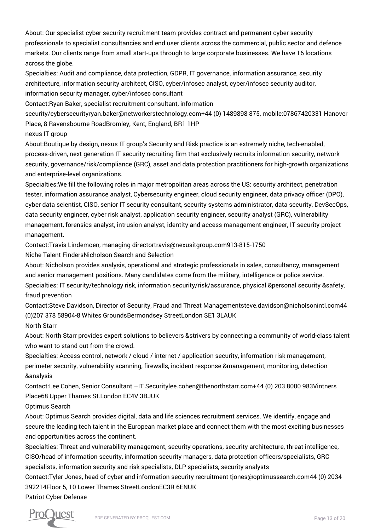About: Our specialist cyber security recruitment team provides contract and permanent cyber security professionals to specialist consultancies and end user clients across the commercial, public sector and defence markets. Our clients range from small start-ups through to large corporate businesses. We have 16 locations across the globe.

Specialties: Audit and compliance, data protection, GDPR, IT governance, information assurance, security architecture, information security architect, CISO, cyber/infosec analyst, cyber/infosec security auditor, information security manager, cyber/infosec consultant

Contact:Ryan Baker, specialist recruitment consultant, information

security/cybersecurityryan.baker@networkerstechnology.com+44 (0) 1489898 875, mobile:07867420331 Hanover Place, 8 Ravensbourne RoadBromley, Kent, England, BR1 1HP

nexus IT group

About:Boutique by design, nexus IT group's Security and Risk practice is an extremely niche, tech-enabled, process-driven, next generation IT security recruiting firm that exclusively recruits information security, network security, governance/risk/compliance (GRC), asset and data protection practitioners for high-growth organizations and enterprise-level organizations.

Specialties:We fill the following roles in major metropolitan areas across the US: security architect, penetration tester, information assurance analyst, Cybersecurity engineer, cloud security engineer, data privacy officer (DPO), cyber data scientist, CISO, senior IT security consultant, security systems administrator, data security, DevSecOps, data security engineer, cyber risk analyst, application security engineer, security analyst (GRC), vulnerability management, forensics analyst, intrusion analyst, identity and access management engineer, IT security project management.

Contact:Travis Lindemoen, managing directortravis@nexusitgroup.com913-815-1750

Niche Talent FindersNicholson Search and Selection

About: Nicholson provides analysis, operational and strategic professionals in sales, consultancy, management and senior management positions. Many candidates come from the military, intelligence or police service.

Specialties: IT security/technology risk, information security/risk/assurance, physical &personal security &safety, fraud prevention

Contact:Steve Davidson, Director of Security, Fraud and Threat Managementsteve.davidson@nicholsonintl.com44 (0)207 378 58904-8 Whites GroundsBermondsey StreetLondon SE1 3LAUK

# North Starr

About: North Starr provides expert solutions to believers &strivers by connecting a community of world-class talent who want to stand out from the crowd.

Specialties: Access control, network / cloud / internet / application security, information risk management, perimeter security, vulnerability scanning, firewalls, incident response &management, monitoring, detection &analysis

Contact:Lee Cohen, Senior Consultant –IT Securitylee.cohen@thenorthstarr.com+44 (0) 203 8000 983Vintners Place68 Upper Thames St.London EC4V 3BJUK

Optimus Search

About: Optimus Search provides digital, data and life sciences recruitment services. We identify, engage and secure the leading tech talent in the European market place and connect them with the most exciting businesses and opportunities across the continent.

Specialties: Threat and vulnerability management, security operations, security architecture, threat intelligence, CISO/head of information security, information security managers, data protection officers/specialists, GRC specialists, information security and risk specialists, DLP specialists, security analysts

Contact:Tyler Jones, head of cyber and information security recruitment tjones@optimussearch.com44 (0) 2034 392214Floor 5, 10 Lower Thames StreetLondonEC3R 6ENUK

Patriot Cyber Defense

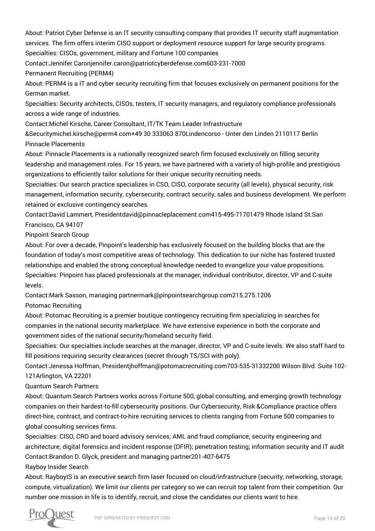About: Patriot Cyber Defense is an IT security consulting company that provides IT security staff augmentation services. The firm offers interim CISO support or deployment resource support for large security programs. Specialties: CISOs, government, military and Fortune 100 companies

Contact:Jennifer Caronjennifer.caron@patriotcyberdefense.com603-231-7000

Permanent Recruiting (PERM4)

About: PERM4 is a IT and cyber security recruiting firm that focuses exclusively on permanent positions for the German market.

Specialties: Security architects, CISOs, testers, IT security managers, and regulatory compliance professionals across a wide range of industries.

Contact:Michel Kirsche, Career Consultant, IT/TK Team Leader Infrastructure

&Securitymichel.kirsche@perm4.com+49 30 333063 870Lindencorso - Unter den Linden 2110117 Berlin Pinnacle Placements

About: Pinnacle Placements is a nationally recognized search firm focused exclusively on filling security leadership and management roles. For 15 years, we have partnered with a variety of high-profile and prestigious organizations to efficiently tailor solutions for their unique security recruiting needs.

Specialties: Our search practice specializes in CSO, CISO, corporate security (all levels), physical security, risk management, information security, cybersecurity, contract security, sales and business development. We perform retained or exclusive contingency searches.

Contact:David Lammert, Presidentdavid@pinnacleplacement.com415-495-71701479 Rhode Island St.San Francisco, CA 94107

Pinpoint Search Group

About: For over a decade, Pinpoint's leadership has exclusively focused on the building blocks that are the foundation of today's most competitive areas of technology. This dedication to our niche has fostered trusted relationships and enabled the strong conceptual knowledge needed to evangelize your value propositions. Specialties: Pinpoint has placed professionals at the manager, individual contributor, director, VP and C-suite levels.

Contact:Mark Sasson, managing partnermark@pinpointsearchgroup.com215.275.1206 Potomac Recruiting

About: Potomac Recruiting is a premier boutique contingency recruiting firm specializing in searches for companies in the national security marketplace. We have extensive experience in both the corporate and government sides of the national security/homeland security field.

Specialties: Our specialties include searches at the manager, director, VP and C-suite levels. We also staff hard to fill positions requiring security clearances (secret through TS/SCI with poly).

Contact:Jenessa Hoffman, Presidentjhoffman@potomacrecruiting.com703-535-31332200 Wilson Blvd. Suite 102- 121Arlington, VA 22201

Quantum Search Partners

About: Quantum Search Partners works across Fortune 500, global consulting, and emerging growth technology companies on their hardest-to-fill cybersecurity positions. Our Cybersecurity, Risk &Compliance practice offers direct-hire, contract, and contract-to-hire recruiting services to clients ranging from Fortune 500 companies to global consulting services firms.

Specialties: CISO, CRO and board advisory services; AML and fraud compliance; security engineering and architecture; digital forensics and incident response (DFIR); penetration testing; information security and IT audit Contact:Brandon D. Glyck, president and managing partner201-407-6475

Rayboy Insider Search

About: RayboyIS is an executive search firm laser focused on cloud/infrastructure (security, networking, storage, compute, virtualization). We limit our clients per category so we can recruit top talent from their competition. Our number one mission in life is to identify, recruit, and close the candidates our clients want to hire.

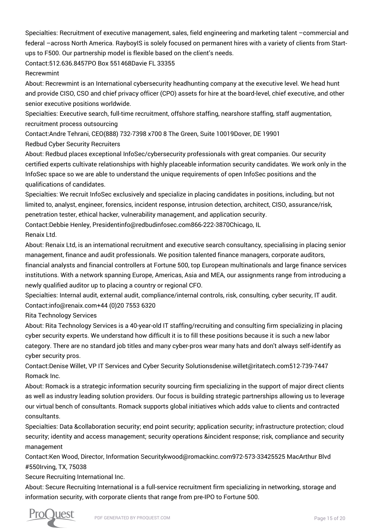Specialties: Recruitment of executive management, sales, field engineering and marketing talent –commercial and federal –across North America. RayboyIS is solely focused on permanent hires with a variety of clients from Startups to F500. Our partnership model is flexible based on the client's needs.

Contact:512.636.8457PO Box 551468Davie FL 33355

Recrewmint

About: Recrewmint is an International cybersecurity headhunting company at the executive level. We head hunt and provide CISO, CSO and chief privacy officer (CPO) assets for hire at the board-level, chief executive, and other senior executive positions worldwide.

Specialties: Executive search, full-time recruitment, offshore staffing, nearshore staffing, staff augmentation, recruitment process outsourcing

Contact:Andre Tehrani, CEO(888) 732-7398 x700 8 The Green, Suite 10019Dover, DE 19901 Redbud Cyber Security Recruiters

About: Redbud places exceptional InfoSec/cybersecurity professionals with great companies. Our security certified experts cultivate relationships with highly placeable information security candidates. We work only in the InfoSec space so we are able to understand the unique requirements of open InfoSec positions and the qualifications of candidates.

Specialties: We recruit InfoSec exclusively and specialize in placing candidates in positions, including, but not limited to, analyst, engineer, forensics, incident response, intrusion detection, architect, CISO, assurance/risk, penetration tester, ethical hacker, vulnerability management, and application security.

Contact:Debbie Henley, Presidentinfo@redbudinfosec.com866-222-3870Chicago, IL Renaix Ltd.

About: Renaix Ltd, is an international recruitment and executive search consultancy, specialising in placing senior management, finance and audit professionals. We position talented finance managers, corporate auditors,

financial analysts and financial controllers at Fortune 500, top European multinationals and large finance services institutions. With a network spanning Europe, Americas, Asia and MEA, our assignments range from introducing a newly qualified auditor up to placing a country or regional CFO.

Specialties: Internal audit, external audit, compliance/internal controls, risk, consulting, cyber security, IT audit. Contact:info@renaix.com+44 (0)20 7553 6320

Rita Technology Services

About: Rita Technology Services is a 40-year-old IT staffing/recruiting and consulting firm specializing in placing cyber security experts. We understand how difficult it is to fill these positions because it is such a new labor category. There are no standard job titles and many cyber-pros wear many hats and don't always self-identify as cyber security pros.

Contact:Denise Willet, VP IT Services and Cyber Security Solutionsdenise.willet@ritatech.com512-739-7447 Romack Inc.

About: Romack is a strategic information security sourcing firm specializing in the support of major direct clients as well as industry leading solution providers. Our focus is building strategic partnerships allowing us to leverage our virtual bench of consultants. Romack supports global initiatives which adds value to clients and contracted consultants.

Specialties: Data &collaboration security; end point security; application security; infrastructure protection; cloud security; identity and access management; security operations &incident response; risk, compliance and security management

Contact:Ken Wood, Director, Information Securitykwood@romackinc.com972-573-33425525 MacArthur Blvd #550Irving, TX, 75038

Secure Recruiting International Inc.

About: Secure Recruiting International is a full-service recruitment firm specializing in networking, storage and information security, with corporate clients that range from pre-IPO to Fortune 500.

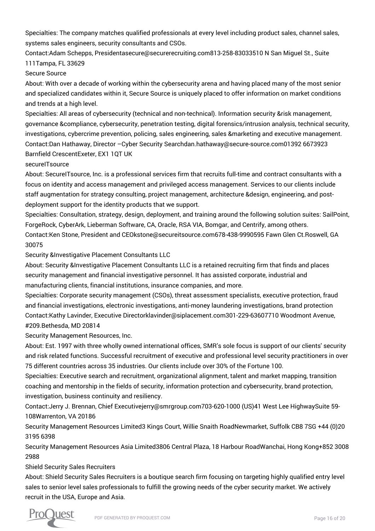Specialties: The company matches qualified professionals at every level including product sales, channel sales, systems sales engineers, security consultants and CSOs.

Contact:Adam Schepps, Presidentasecure@securerecruiting.com813-258-83033510 N San Miguel St., Suite 111Tampa, FL 33629

#### Secure Source

About: With over a decade of working within the cybersecurity arena and having placed many of the most senior and specialized candidates within it, Secure Source is uniquely placed to offer information on market conditions and trends at a high level.

Specialties: All areas of cybersecurity (technical and non-technical). Information security &risk management, governance &compliance, cybersecurity, penetration testing, digital forensics/intrusion analysis, technical security, investigations, cybercrime prevention, policing, sales engineering, sales &marketing and executive management. Contact:Dan Hathaway, Director –Cyber Security Searchdan.hathaway@secure-source.com01392 6673923 Barnfield CrescentExeter, EX1 1QT UK

## securelTsource

About: SecureITsource, Inc. is a professional services firm that recruits full-time and contract consultants with a focus on identity and access management and privileged access management. Services to our clients include staff augmentation for strategy consulting, project management, architecture &design, engineering, and postdeployment support for the identity products that we support.

Specialties: Consultation, strategy, design, deployment, and training around the following solution suites: SailPoint, ForgeRock, CyberArk, Lieberman Software, CA, Oracle, RSA VIA, Bomgar, and Centrify, among others. Contact:Ken Stone, President and CEOkstone@secureitsource.com678-438-9990595 Fawn Glen Ct.Roswell, GA 30075

Security &Investigative Placement Consultants LLC

About: Security &Investigative Placement Consultants LLC is a retained recruiting firm that finds and places security management and financial investigative personnel. It has assisted corporate, industrial and manufacturing clients, financial institutions, insurance companies, and more.

Specialties: Corporate security management (CSOs), threat assessment specialists, executive protection, fraud and financial investigations, electronic investigations, anti-money laundering investigations, brand protection Contact:Kathy Lavinder, Executive Directorklavinder@siplacement.com301-229-63607710 Woodmont Avenue, #209.Bethesda, MD 20814

Security Management Resources, Inc.

About: Est. 1997 with three wholly owned international offices, SMR's sole focus is support of our clients' security and risk related functions. Successful recruitment of executive and professional level security practitioners in over 75 different countries across 35 industries. Our clients include over 30% of the Fortune 100.

Specialties: Executive search and recruitment, organizational alignment, talent and market mapping, transition coaching and mentorship in the fields of security, information protection and cybersecurity, brand protection, investigation, business continuity and resiliency.

Contact:Jerry J. Brennan, Chief Executivejerry@smrgroup.com703-620-1000 (US)41 West Lee HighwaySuite 59- 108Warrenton, VA 20186

Security Management Resources Limited3 Kings Court, Willie Snaith RoadNewmarket, Suffolk CB8 7SG +44 (0)20 3195 6398

Security Management Resources Asia Limited3806 Central Plaza, 18 Harbour RoadWanchai, Hong Kong+852 3008 2988

Shield Security Sales Recruiters

About: Shield Security Sales Recruiters is a boutique search firm focusing on targeting highly qualified entry level sales to senior level sales professionals to fulfill the growing needs of the cyber security market. We actively recruit in the USA, Europe and Asia.

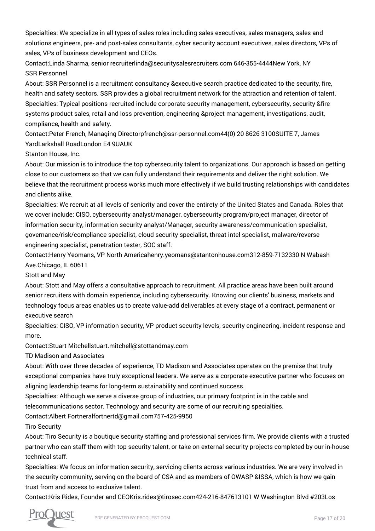Specialties: We specialize in all types of sales roles including sales executives, sales managers, sales and solutions engineers, pre- and post-sales consultants, cyber security account executives, sales directors, VPs of sales, VPs of business development and CEOs.

Contact:Linda Sharma, senior recruiterlinda@securitysalesrecruiters.com 646-355-4444New York, NY SSR Personnel

About: SSR Personnel is a recruitment consultancy &executive search practice dedicated to the security, fire, health and safety sectors. SSR provides a global recruitment network for the attraction and retention of talent. Specialties: Typical positions recruited include corporate security management, cybersecurity, security &fire systems product sales, retail and loss prevention, engineering &project management, investigations, audit, compliance, health and safety.

Contact:Peter French, Managing Directorpfrench@ssr-personnel.com44(0) 20 8626 3100SUITE 7, James YardLarkshall RoadLondon F4 9UAUK

Stanton House, Inc.

About: Our mission is to introduce the top cybersecurity talent to organizations. Our approach is based on getting close to our customers so that we can fully understand their requirements and deliver the right solution. We believe that the recruitment process works much more effectively if we build trusting relationships with candidates and clients alike.

Specialties: We recruit at all levels of seniority and cover the entirety of the United States and Canada. Roles that we cover include: CISO, cybersecurity analyst/manager, cybersecurity program/project manager, director of information security, information security analyst/Manager, security awareness/communication specialist, governance/risk/compliance specialist, cloud security specialist, threat intel specialist, malware/reverse engineering specialist, penetration tester, SOC staff.

Contact:Henry Yeomans, VP North Americahenry.yeomans@stantonhouse.com312-859-7132330 N Wabash Ave.Chicago, IL 60611

Stott and May

About: Stott and May offers a consultative approach to recruitment. All practice areas have been built around senior recruiters with domain experience, including cybersecurity. Knowing our clients' business, markets and technology focus areas enables us to create value-add deliverables at every stage of a contract, permanent or executive search

Specialties: CISO, VP information security, VP product security levels, security engineering, incident response and more.

Contact:Stuart Mitchellstuart.mitchell@stottandmay.com

TD Madison and Associates

About: With over three decades of experience, TD Madison and Associates operates on the premise that truly exceptional companies have truly exceptional leaders. We serve as a corporate executive partner who focuses on aligning leadership teams for long-term sustainability and continued success.

Specialties: Although we serve a diverse group of industries, our primary footprint is in the cable and

telecommunications sector. Technology and security are some of our recruiting specialties.

Contact:Albert Fortneralfortnertd@gmail.com757-425-9950

Tiro Security

About: Tiro Security is a boutique security staffing and professional services firm. We provide clients with a trusted partner who can staff them with top security talent, or take on external security projects completed by our in-house technical staff.

Specialties: We focus on information security, servicing clients across various industries. We are very involved in the security community, serving on the board of CSA and as members of OWASP &ISSA, which is how we gain trust from and access to exclusive talent.

Contact:Kris Rides, Founder and CEOKris.rides@tirosec.com424-216-847613101 W Washington Blvd #203Los

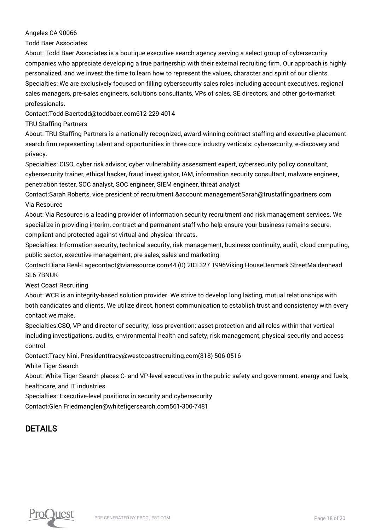#### Angeles CA 90066

Todd Baer Associates

About: Todd Baer Associates is a boutique executive search agency serving a select group of cybersecurity companies who appreciate developing a true partnership with their external recruiting firm. Our approach is highly personalized, and we invest the time to learn how to represent the values, character and spirit of our clients. Specialties: We are exclusively focused on filling cybersecurity sales roles including account executives, regional sales managers, pre-sales engineers, solutions consultants, VPs of sales, SE directors, and other go-to-market professionals.

Contact:Todd Baertodd@toddbaer.com612-229-4014

TRU Staffing Partners

About: TRU Staffing Partners is a nationally recognized, award-winning contract staffing and executive placement search firm representing talent and opportunities in three core industry verticals: cybersecurity, e-discovery and privacy.

Specialties: CISO, cyber risk advisor, cyber vulnerability assessment expert, cybersecurity policy consultant, cybersecurity trainer, ethical hacker, fraud investigator, IAM, information security consultant, malware engineer, penetration tester, SOC analyst, SOC engineer, SIEM engineer, threat analyst

Contact:Sarah Roberts, vice president of recruitment &account managementSarah@trustaffingpartners.com Via Resource

About: Via Resource is a leading provider of information security recruitment and risk management services. We specialize in providing interim, contract and permanent staff who help ensure your business remains secure, compliant and protected against virtual and physical threats.

Specialties: Information security, technical security, risk management, business continuity, audit, cloud computing, public sector, executive management, pre sales, sales and marketing.

Contact:Diana Real-Lagecontact@viaresource.com44 (0) 203 327 1996Viking HouseDenmark StreetMaidenhead SL6 7BNUK

West Coast Recruiting

About: WCR is an integrity-based solution provider. We strive to develop long lasting, mutual relationships with both candidates and clients. We utilize direct, honest communication to establish trust and consistency with every contact we make.

Specialties:CSO, VP and director of security; loss prevention; asset protection and all roles within that vertical including investigations, audits, environmental health and safety, risk management, physical security and access control.

Contact:Tracy Nini, Presidenttracy@westcoastrecruiting.com(818) 506-0516

White Tiger Search

About: White Tiger Search places C- and VP-level executives in the public safety and government, energy and fuels, healthcare, and IT industries

Specialties: Executive-level positions in security and cybersecurity

Contact:Glen Friedmanglen@whitetigersearch.com561-300-7481

# DETAILS

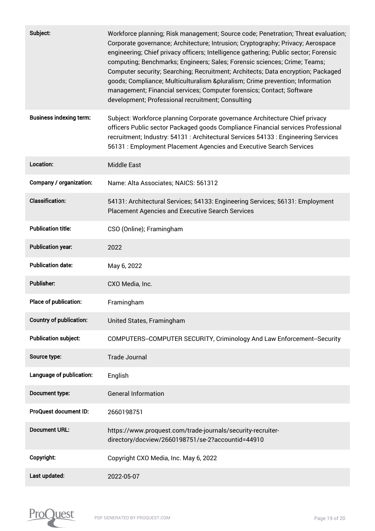| Subject:                       | Workforce planning; Risk management; Source code; Penetration; Threat evaluation;<br>Corporate governance; Architecture; Intrusion; Cryptography; Privacy; Aerospace<br>engineering; Chief privacy officers; Intelligence gathering; Public sector; Forensic<br>computing; Benchmarks; Engineers; Sales; Forensic sciences; Crime; Teams;<br>Computer security; Searching; Recruitment; Architects; Data encryption; Packaged<br>goods; Compliance; Multiculturalism & pluralism; Crime prevention; Information<br>management; Financial services; Computer forensics; Contact; Software<br>development; Professional recruitment; Consulting |
|--------------------------------|-----------------------------------------------------------------------------------------------------------------------------------------------------------------------------------------------------------------------------------------------------------------------------------------------------------------------------------------------------------------------------------------------------------------------------------------------------------------------------------------------------------------------------------------------------------------------------------------------------------------------------------------------|
| <b>Business indexing term:</b> | Subject: Workforce planning Corporate governance Architecture Chief privacy<br>officers Public sector Packaged goods Compliance Financial services Professional<br>recruitment; Industry: 54131 : Architectural Services 54133 : Engineering Services<br>56131 : Employment Placement Agencies and Executive Search Services                                                                                                                                                                                                                                                                                                                  |
| Location:                      | <b>Middle East</b>                                                                                                                                                                                                                                                                                                                                                                                                                                                                                                                                                                                                                            |
| Company / organization:        | Name: Alta Associates; NAICS: 561312                                                                                                                                                                                                                                                                                                                                                                                                                                                                                                                                                                                                          |
| <b>Classification:</b>         | 54131: Architectural Services; 54133: Engineering Services; 56131: Employment<br><b>Placement Agencies and Executive Search Services</b>                                                                                                                                                                                                                                                                                                                                                                                                                                                                                                      |
| <b>Publication title:</b>      | CSO (Online); Framingham                                                                                                                                                                                                                                                                                                                                                                                                                                                                                                                                                                                                                      |
| <b>Publication year:</b>       | 2022                                                                                                                                                                                                                                                                                                                                                                                                                                                                                                                                                                                                                                          |
| <b>Publication date:</b>       | May 6, 2022                                                                                                                                                                                                                                                                                                                                                                                                                                                                                                                                                                                                                                   |
| <b>Publisher:</b>              | CXO Media, Inc.                                                                                                                                                                                                                                                                                                                                                                                                                                                                                                                                                                                                                               |
| Place of publication:          | Framingham                                                                                                                                                                                                                                                                                                                                                                                                                                                                                                                                                                                                                                    |
| <b>Country of publication:</b> | United States, Framingham                                                                                                                                                                                                                                                                                                                                                                                                                                                                                                                                                                                                                     |
| <b>Publication subject:</b>    | COMPUTERS--COMPUTER SECURITY, Criminology And Law Enforcement--Security                                                                                                                                                                                                                                                                                                                                                                                                                                                                                                                                                                       |
| Source type:                   | <b>Trade Journal</b>                                                                                                                                                                                                                                                                                                                                                                                                                                                                                                                                                                                                                          |
| Language of publication:       | English                                                                                                                                                                                                                                                                                                                                                                                                                                                                                                                                                                                                                                       |
| Document type:                 | <b>General Information</b>                                                                                                                                                                                                                                                                                                                                                                                                                                                                                                                                                                                                                    |
| ProQuest document ID:          | 2660198751                                                                                                                                                                                                                                                                                                                                                                                                                                                                                                                                                                                                                                    |
| <b>Document URL:</b>           | https://www.proquest.com/trade-journals/security-recruiter-<br>directory/docview/2660198751/se-2?accountid=44910                                                                                                                                                                                                                                                                                                                                                                                                                                                                                                                              |
| Copyright:                     | Copyright CXO Media, Inc. May 6, 2022                                                                                                                                                                                                                                                                                                                                                                                                                                                                                                                                                                                                         |
| Last updated:                  | 2022-05-07                                                                                                                                                                                                                                                                                                                                                                                                                                                                                                                                                                                                                                    |